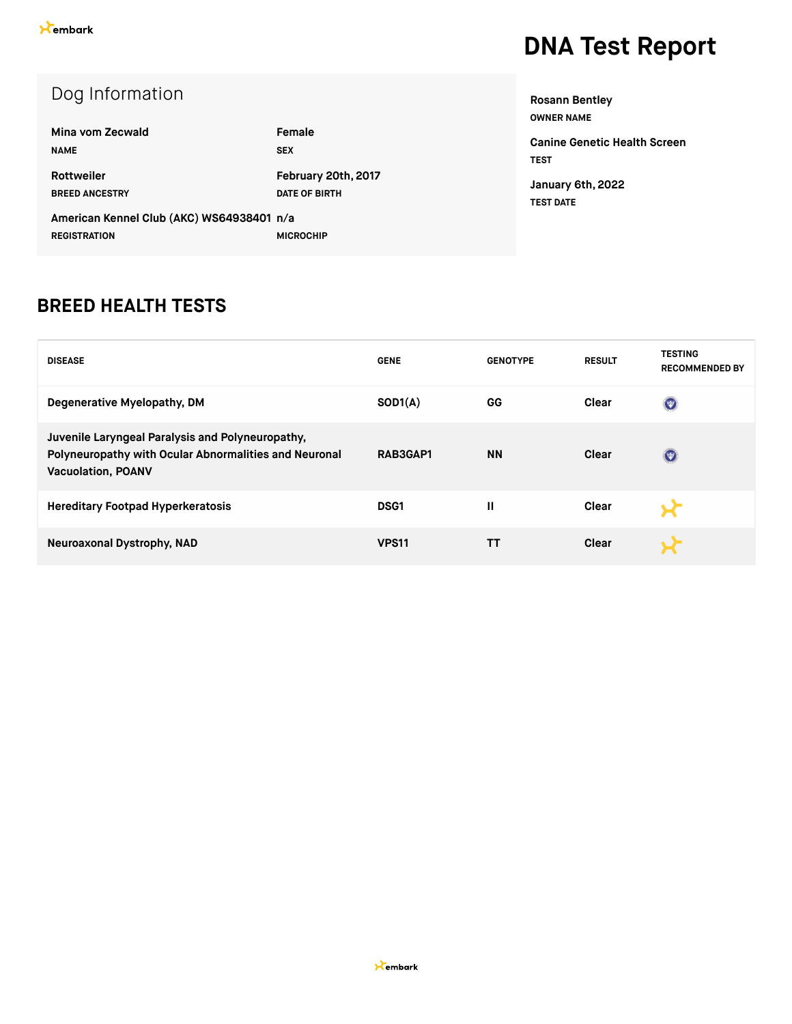**Health Screen** 

| Dog Information                                                  |                      | <b>Rosann Bentley</b><br><b>OWNER NAME</b> |
|------------------------------------------------------------------|----------------------|--------------------------------------------|
| Mina vom Zecwald                                                 | Female               | <b>Canine Genetic He</b>                   |
| <b>NAME</b>                                                      | <b>SEX</b>           | <b>TEST</b>                                |
| <b>Rottweiler</b>                                                | February 20th, 2017  | January 6th, 2022                          |
| <b>BREED ANCESTRY</b>                                            | <b>DATE OF BIRTH</b> | <b>TEST DATE</b>                           |
| American Kennel Club (AKC) WS64938401 n/a<br><b>REGISTRATION</b> | <b>MICROCHIP</b>     |                                            |

#### **BREED HEALTH TESTS**

| <b>DISEASE</b>                                                                                                                         | <b>GENE</b>  | <b>GENOTYPE</b> | <b>RESULT</b> | <b>TESTING</b><br><b>RECOMMENDED BY</b> |
|----------------------------------------------------------------------------------------------------------------------------------------|--------------|-----------------|---------------|-----------------------------------------|
| Degenerative Myelopathy, DM                                                                                                            | SOD1(A)      | GG              | Clear         | $\left($                                |
| Juvenile Laryngeal Paralysis and Polyneuropathy,<br>Polyneuropathy with Ocular Abnormalities and Neuronal<br><b>Vacuolation, POANV</b> | RAB3GAP1     | <b>NN</b>       | Clear         | $(\Psi)$                                |
| <b>Hereditary Footpad Hyperkeratosis</b>                                                                                               | <b>DSG1</b>  | Ш               | Clear         |                                         |
| Neuroaxonal Dystrophy, NAD                                                                                                             | <b>VPS11</b> | тт              | Clear         |                                         |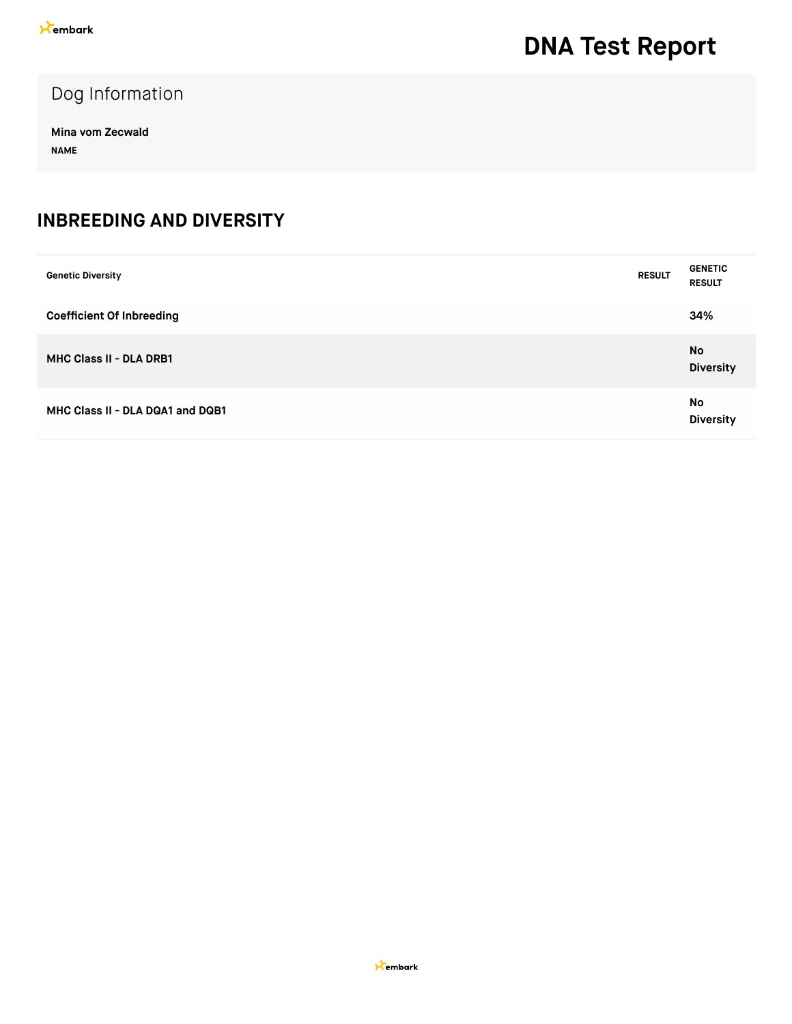### Dog Information

**Mina vom Zecwald NAME**

#### **INBREEDING AND DIVERSITY**

| <b>Genetic Diversity</b>         | <b>RESULT</b> | <b>GENETIC</b><br><b>RESULT</b> |
|----------------------------------|---------------|---------------------------------|
| <b>Coefficient Of Inbreeding</b> |               | 34%                             |
| <b>MHC Class II - DLA DRB1</b>   |               | <b>No</b><br><b>Diversity</b>   |
| MHC Class II - DLA DQA1 and DQB1 |               | No<br><b>Diversity</b>          |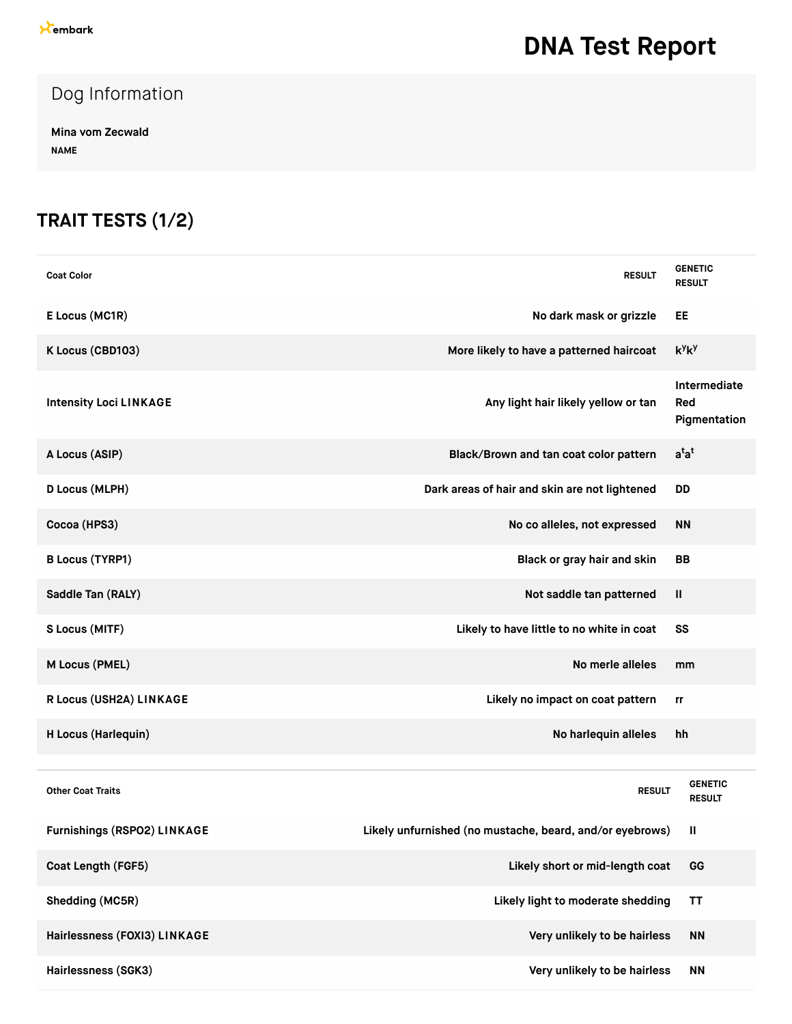### Dog Information

**Mina vom Zecwald NAME**

### **TRAIT TESTS (1/2)**

| <b>Coat Color</b>                  | <b>RESULT</b>                                            | <b>GENETIC</b><br><b>RESULT</b>     |
|------------------------------------|----------------------------------------------------------|-------------------------------------|
| E Locus (MC1R)                     | No dark mask or grizzle                                  | EE                                  |
| K Locus (CBD103)                   | More likely to have a patterned haircoat                 | $k^y k^y$                           |
| <b>Intensity Loci LINKAGE</b>      | Any light hair likely yellow or tan                      | Intermediate<br>Red<br>Pigmentation |
| A Locus (ASIP)                     | Black/Brown and tan coat color pattern                   | $a^{t}a^{t}$                        |
| D Locus (MLPH)                     | Dark areas of hair and skin are not lightened            | <b>DD</b>                           |
| Cocoa (HPS3)                       | No co alleles, not expressed                             | <b>NN</b>                           |
| <b>B Locus (TYRP1)</b>             | Black or gray hair and skin                              | <b>BB</b>                           |
| Saddle Tan (RALY)                  | Not saddle tan patterned                                 | Ш                                   |
| S Locus (MITF)                     | Likely to have little to no white in coat                | SS                                  |
| M Locus (PMEL)                     | No merle alleles                                         | mm                                  |
| R Locus (USH2A) LINKAGE            | Likely no impact on coat pattern                         | rr                                  |
| H Locus (Harlequin)                | No harlequin alleles                                     | hh                                  |
|                                    |                                                          |                                     |
| <b>Other Coat Traits</b>           | <b>RESULT</b>                                            | <b>GENETIC</b><br><b>RESULT</b>     |
| <b>Furnishings (RSPO2) LINKAGE</b> | Likely unfurnished (no mustache, beard, and/or eyebrows) | Ш                                   |
| Coat Length (FGF5)                 | Likely short or mid-length coat                          | GG                                  |
| Shedding (MC5R)                    | Likely light to moderate shedding                        | <b>TT</b>                           |
| Hairlessness (FOXI3) LINKAGE       | Very unlikely to be hairless                             | <b>NN</b>                           |
| Hairlessness (SGK3)                | Very unlikely to be hairless                             | <b>NN</b>                           |